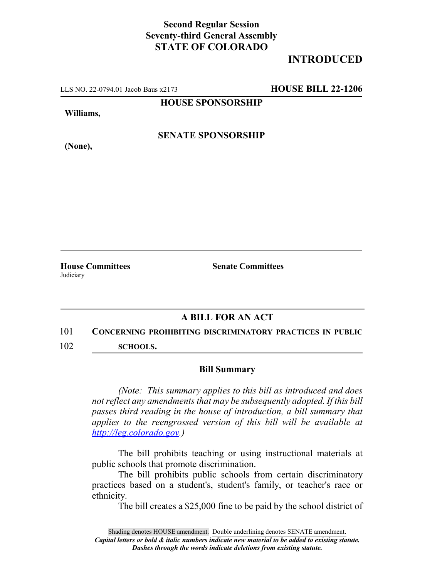## **Second Regular Session Seventy-third General Assembly STATE OF COLORADO**

# **INTRODUCED**

LLS NO. 22-0794.01 Jacob Baus x2173 **HOUSE BILL 22-1206**

**HOUSE SPONSORSHIP**

**Williams,**

**(None),**

**SENATE SPONSORSHIP**

**Judiciary** 

**House Committees Senate Committees**

### **A BILL FOR AN ACT**

### 101 **CONCERNING PROHIBITING DISCRIMINATORY PRACTICES IN PUBLIC**

102 **SCHOOLS.**

#### **Bill Summary**

*(Note: This summary applies to this bill as introduced and does not reflect any amendments that may be subsequently adopted. If this bill passes third reading in the house of introduction, a bill summary that applies to the reengrossed version of this bill will be available at http://leg.colorado.gov.)*

The bill prohibits teaching or using instructional materials at public schools that promote discrimination.

The bill prohibits public schools from certain discriminatory practices based on a student's, student's family, or teacher's race or ethnicity.

The bill creates a \$25,000 fine to be paid by the school district of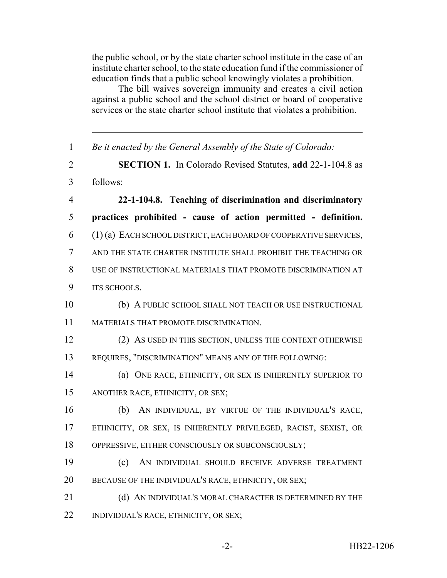the public school, or by the state charter school institute in the case of an institute charter school, to the state education fund if the commissioner of education finds that a public school knowingly violates a prohibition.

The bill waives sovereign immunity and creates a civil action against a public school and the school district or board of cooperative services or the state charter school institute that violates a prohibition.

 *Be it enacted by the General Assembly of the State of Colorado:* **SECTION 1.** In Colorado Revised Statutes, **add** 22-1-104.8 as follows: **22-1-104.8. Teaching of discrimination and discriminatory practices prohibited - cause of action permitted - definition.** (1) (a) EACH SCHOOL DISTRICT, EACH BOARD OF COOPERATIVE SERVICES, AND THE STATE CHARTER INSTITUTE SHALL PROHIBIT THE TEACHING OR USE OF INSTRUCTIONAL MATERIALS THAT PROMOTE DISCRIMINATION AT 9 ITS SCHOOLS. (b) A PUBLIC SCHOOL SHALL NOT TEACH OR USE INSTRUCTIONAL MATERIALS THAT PROMOTE DISCRIMINATION. (2) AS USED IN THIS SECTION, UNLESS THE CONTEXT OTHERWISE REQUIRES, "DISCRIMINATION" MEANS ANY OF THE FOLLOWING: (a) ONE RACE, ETHNICITY, OR SEX IS INHERENTLY SUPERIOR TO ANOTHER RACE, ETHNICITY, OR SEX; (b) AN INDIVIDUAL, BY VIRTUE OF THE INDIVIDUAL'S RACE, ETHNICITY, OR SEX, IS INHERENTLY PRIVILEGED, RACIST, SEXIST, OR OPPRESSIVE, EITHER CONSCIOUSLY OR SUBCONSCIOUSLY; (c) AN INDIVIDUAL SHOULD RECEIVE ADVERSE TREATMENT 20 BECAUSE OF THE INDIVIDUAL'S RACE, ETHNICITY, OR SEX; 21 (d) AN INDIVIDUAL'S MORAL CHARACTER IS DETERMINED BY THE INDIVIDUAL'S RACE, ETHNICITY, OR SEX;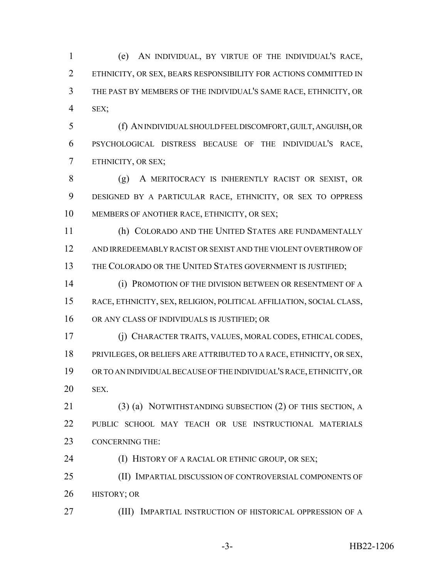(e) AN INDIVIDUAL, BY VIRTUE OF THE INDIVIDUAL'S RACE, ETHNICITY, OR SEX, BEARS RESPONSIBILITY FOR ACTIONS COMMITTED IN THE PAST BY MEMBERS OF THE INDIVIDUAL'S SAME RACE, ETHNICITY, OR SEX;

 (f) AN INDIVIDUAL SHOULD FEEL DISCOMFORT, GUILT, ANGUISH, OR PSYCHOLOGICAL DISTRESS BECAUSE OF THE INDIVIDUAL'S RACE, ETHNICITY, OR SEX;

 (g) A MERITOCRACY IS INHERENTLY RACIST OR SEXIST, OR DESIGNED BY A PARTICULAR RACE, ETHNICITY, OR SEX TO OPPRESS MEMBERS OF ANOTHER RACE, ETHNICITY, OR SEX;

 (h) COLORADO AND THE UNITED STATES ARE FUNDAMENTALLY AND IRREDEEMABLY RACIST OR SEXIST AND THE VIOLENT OVERTHROW OF 13 THE COLORADO OR THE UNITED STATES GOVERNMENT IS JUSTIFIED;

 (i) PROMOTION OF THE DIVISION BETWEEN OR RESENTMENT OF A RACE, ETHNICITY, SEX, RELIGION, POLITICAL AFFILIATION, SOCIAL CLASS, OR ANY CLASS OF INDIVIDUALS IS JUSTIFIED; OR

 (j) CHARACTER TRAITS, VALUES, MORAL CODES, ETHICAL CODES, PRIVILEGES, OR BELIEFS ARE ATTRIBUTED TO A RACE, ETHNICITY, OR SEX, OR TO AN INDIVIDUAL BECAUSE OF THE INDIVIDUAL'S RACE, ETHNICITY, OR SEX.

 (3) (a) NOTWITHSTANDING SUBSECTION (2) OF THIS SECTION, A PUBLIC SCHOOL MAY TEACH OR USE INSTRUCTIONAL MATERIALS CONCERNING THE:

**(I) HISTORY OF A RACIAL OR ETHNIC GROUP, OR SEX;** 

 (II) IMPARTIAL DISCUSSION OF CONTROVERSIAL COMPONENTS OF HISTORY; OR

(III) IMPARTIAL INSTRUCTION OF HISTORICAL OPPRESSION OF A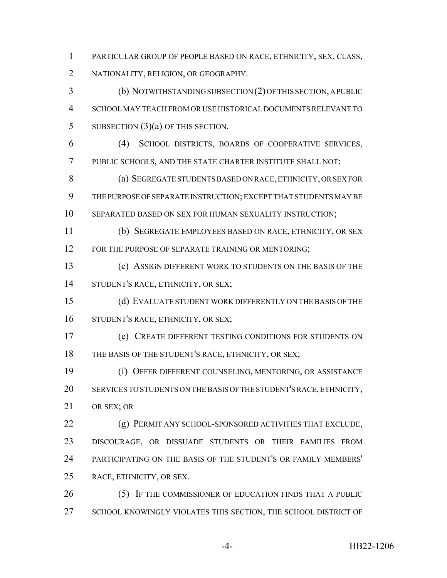PARTICULAR GROUP OF PEOPLE BASED ON RACE, ETHNICITY, SEX, CLASS, NATIONALITY, RELIGION, OR GEOGRAPHY.

 (b) NOTWITHSTANDING SUBSECTION (2) OF THIS SECTION, A PUBLIC SCHOOL MAY TEACH FROM OR USE HISTORICAL DOCUMENTS RELEVANT TO 5 SUBSECTION  $(3)(a)$  OF THIS SECTION.

 (4) SCHOOL DISTRICTS, BOARDS OF COOPERATIVE SERVICES, PUBLIC SCHOOLS, AND THE STATE CHARTER INSTITUTE SHALL NOT:

 (a) SEGREGATE STUDENTS BASED ON RACE, ETHNICITY, OR SEX FOR THE PURPOSE OF SEPARATE INSTRUCTION; EXCEPT THAT STUDENTS MAY BE 10 SEPARATED BASED ON SEX FOR HUMAN SEXUALITY INSTRUCTION;

(b) SEGREGATE EMPLOYEES BASED ON RACE, ETHNICITY, OR SEX

12 FOR THE PURPOSE OF SEPARATE TRAINING OR MENTORING;

 (c) ASSIGN DIFFERENT WORK TO STUDENTS ON THE BASIS OF THE STUDENT'S RACE, ETHNICITY, OR SEX;

 (d) EVALUATE STUDENT WORK DIFFERENTLY ON THE BASIS OF THE STUDENT'S RACE, ETHNICITY, OR SEX;

 (e) CREATE DIFFERENT TESTING CONDITIONS FOR STUDENTS ON 18 THE BASIS OF THE STUDENT'S RACE, ETHNICITY, OR SEX;

 (f) OFFER DIFFERENT COUNSELING, MENTORING, OR ASSISTANCE SERVICES TO STUDENTS ON THE BASIS OF THE STUDENT'S RACE, ETHNICITY, OR SEX; OR

 (g) PERMIT ANY SCHOOL-SPONSORED ACTIVITIES THAT EXCLUDE, DISCOURAGE, OR DISSUADE STUDENTS OR THEIR FAMILIES FROM PARTICIPATING ON THE BASIS OF THE STUDENT'S OR FAMILY MEMBERS' RACE, ETHNICITY, OR SEX.

 (5) IF THE COMMISSIONER OF EDUCATION FINDS THAT A PUBLIC 27 SCHOOL KNOWINGLY VIOLATES THIS SECTION, THE SCHOOL DISTRICT OF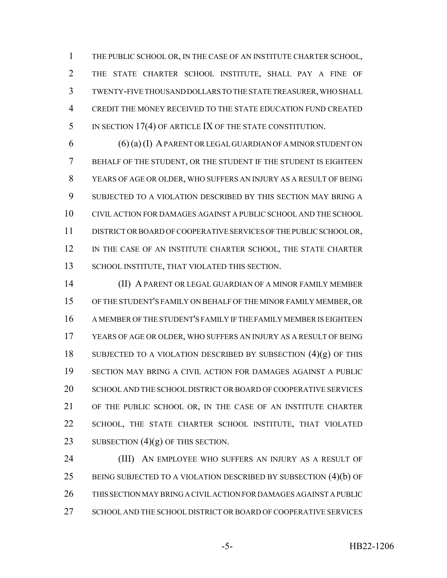THE PUBLIC SCHOOL OR, IN THE CASE OF AN INSTITUTE CHARTER SCHOOL, THE STATE CHARTER SCHOOL INSTITUTE, SHALL PAY A FINE OF TWENTY-FIVE THOUSAND DOLLARS TO THE STATE TREASURER, WHO SHALL CREDIT THE MONEY RECEIVED TO THE STATE EDUCATION FUND CREATED 5 IN SECTION 17(4) OF ARTICLE IX OF THE STATE CONSTITUTION.

 (6) (a) (I) A PARENT OR LEGAL GUARDIAN OF A MINOR STUDENT ON BEHALF OF THE STUDENT, OR THE STUDENT IF THE STUDENT IS EIGHTEEN YEARS OF AGE OR OLDER, WHO SUFFERS AN INJURY AS A RESULT OF BEING SUBJECTED TO A VIOLATION DESCRIBED BY THIS SECTION MAY BRING A CIVIL ACTION FOR DAMAGES AGAINST A PUBLIC SCHOOL AND THE SCHOOL DISTRICT OR BOARD OF COOPERATIVE SERVICES OF THE PUBLIC SCHOOL OR, 12 IN THE CASE OF AN INSTITUTE CHARTER SCHOOL, THE STATE CHARTER 13 SCHOOL INSTITUTE, THAT VIOLATED THIS SECTION.

 (II) A PARENT OR LEGAL GUARDIAN OF A MINOR FAMILY MEMBER OF THE STUDENT'S FAMILY ON BEHALF OF THE MINOR FAMILY MEMBER, OR A MEMBER OF THE STUDENT'S FAMILY IF THE FAMILY MEMBER IS EIGHTEEN YEARS OF AGE OR OLDER, WHO SUFFERS AN INJURY AS A RESULT OF BEING 18 SUBJECTED TO A VIOLATION DESCRIBED BY SUBSECTION  $(4)(g)$  OF THIS SECTION MAY BRING A CIVIL ACTION FOR DAMAGES AGAINST A PUBLIC 20 SCHOOL AND THE SCHOOL DISTRICT OR BOARD OF COOPERATIVE SERVICES OF THE PUBLIC SCHOOL OR, IN THE CASE OF AN INSTITUTE CHARTER 22 SCHOOL, THE STATE CHARTER SCHOOL INSTITUTE, THAT VIOLATED 23 SUBSECTION  $(4)(g)$  OF THIS SECTION.

**(III)** AN EMPLOYEE WHO SUFFERS AN INJURY AS A RESULT OF 25 BEING SUBJECTED TO A VIOLATION DESCRIBED BY SUBSECTION (4)(b) OF THIS SECTION MAY BRING A CIVIL ACTION FOR DAMAGES AGAINST A PUBLIC 27 SCHOOL AND THE SCHOOL DISTRICT OR BOARD OF COOPERATIVE SERVICES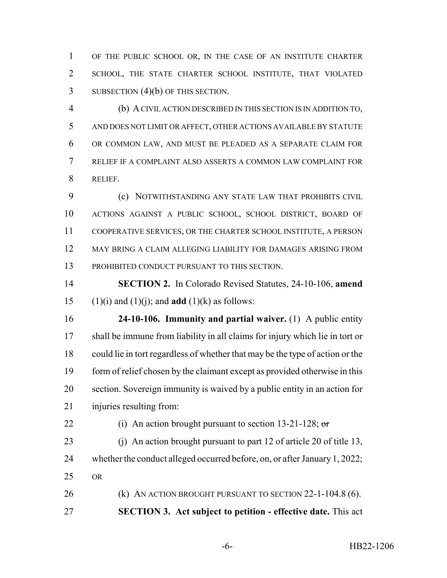OF THE PUBLIC SCHOOL OR, IN THE CASE OF AN INSTITUTE CHARTER SCHOOL, THE STATE CHARTER SCHOOL INSTITUTE, THAT VIOLATED 3 SUBSECTION (4)(b) OF THIS SECTION.

 (b) A CIVIL ACTION DESCRIBED IN THIS SECTION IS IN ADDITION TO, AND DOES NOT LIMIT OR AFFECT, OTHER ACTIONS AVAILABLE BY STATUTE OR COMMON LAW, AND MUST BE PLEADED AS A SEPARATE CLAIM FOR RELIEF IF A COMPLAINT ALSO ASSERTS A COMMON LAW COMPLAINT FOR RELIEF.

 (c) NOTWITHSTANDING ANY STATE LAW THAT PROHIBITS CIVIL ACTIONS AGAINST A PUBLIC SCHOOL, SCHOOL DISTRICT, BOARD OF COOPERATIVE SERVICES, OR THE CHARTER SCHOOL INSTITUTE, A PERSON MAY BRING A CLAIM ALLEGING LIABILITY FOR DAMAGES ARISING FROM PROHIBITED CONDUCT PURSUANT TO THIS SECTION.

 **SECTION 2.** In Colorado Revised Statutes, 24-10-106, **amend** 15 (1)(i) and (1)(i); and **add** (1)(k) as follows:

 **24-10-106. Immunity and partial waiver.** (1) A public entity shall be immune from liability in all claims for injury which lie in tort or could lie in tort regardless of whether that may be the type of action or the form of relief chosen by the claimant except as provided otherwise in this section. Sovereign immunity is waived by a public entity in an action for injuries resulting from:

22 (i) An action brought pursuant to section  $13-21-128$ ; or

 (j) An action brought pursuant to part 12 of article 20 of title 13, whether the conduct alleged occurred before, on, or after January 1, 2022; OR

 (k) AN ACTION BROUGHT PURSUANT TO SECTION 22-1-104.8 (6). **SECTION 3. Act subject to petition - effective date.** This act